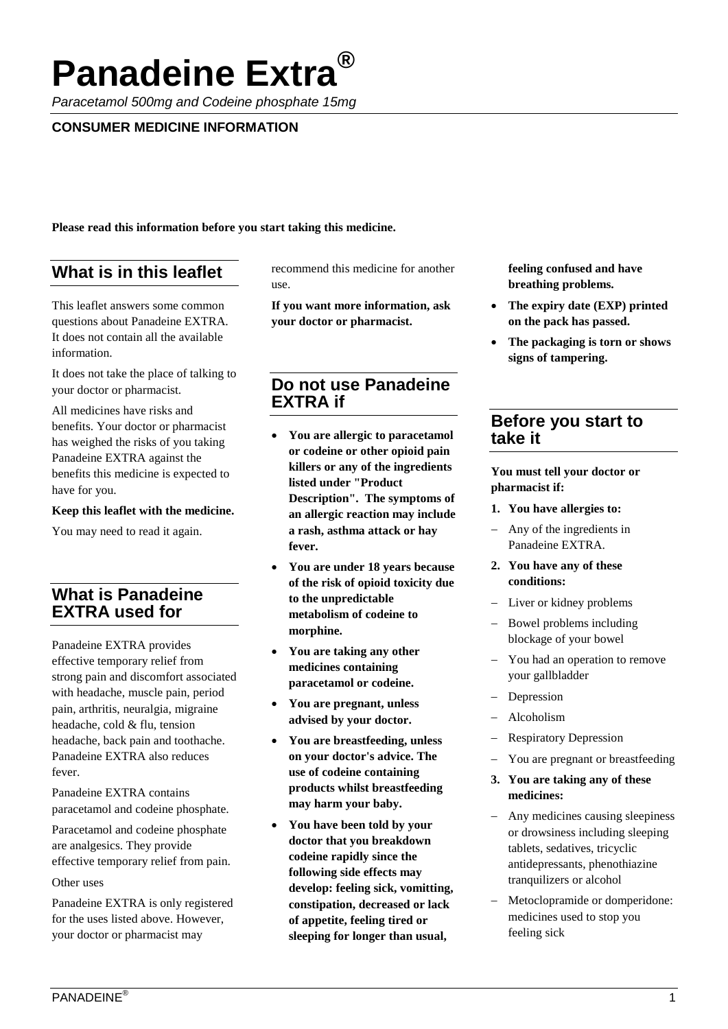# **Panadeine Extra**

*Paracetamol 500mg and Codeine phosphate 15mg*

## **CONSUMER MEDICINE INFORMATION**

**Please read this information before you start taking this medicine.**

# **What is in this leaflet**

This leaflet answers some common questions about Panadeine EXTRA. It does not contain all the available information.

It does not take the place of talking to your doctor or pharmacist.

All medicines have risks and benefits. Your doctor or pharmacist has weighed the risks of you taking Panadeine EXTRA against the benefits this medicine is expected to have for you.

#### **Keep this leaflet with the medicine.**

You may need to read it again.

# **What is Panadeine EXTRA used for**

Panadeine EXTRA provides effective temporary relief from strong pain and discomfort associated with headache, muscle pain, period pain, arthritis, neuralgia, migraine headache, cold & flu, tension headache, back pain and toothache. Panadeine EXTRA also reduces fever.

Panadeine EXTRA contains paracetamol and codeine phosphate.

Paracetamol and codeine phosphate are analgesics. They provide effective temporary relief from pain.

#### Other uses

Panadeine EXTRA is only registered for the uses listed above. However, your doctor or pharmacist may

recommend this medicine for another use.

**If you want more information, ask your doctor or pharmacist.**

# **Do not use Panadeine EXTRA if**

- **You are allergic to paracetamol or codeine or other opioid pain killers or any of the ingredients listed under "Product Description". The symptoms of an allergic reaction may include a rash, asthma attack or hay fever.**
- **You are under 18 years because of the risk of opioid toxicity due to the unpredictable metabolism of codeine to morphine.**
- **You are taking any other medicines containing paracetamol or codeine.**
- **You are pregnant, unless advised by your doctor.**
- **You are breastfeeding, unless on your doctor's advice. The use of codeine containing products whilst breastfeeding may harm your baby.**
- **You have been told by your doctor that you breakdown codeine rapidly since the following side effects may develop: feeling sick, vomitting, constipation, decreased or lack of appetite, feeling tired or sleeping for longer than usual,**

**feeling confused and have breathing problems.**

- **The expiry date (EXP) printed on the pack has passed.**
- **The packaging is torn or shows signs of tampering.**

## **Before you start to take it**

**You must tell your doctor or pharmacist if:**

- **1. You have allergies to:**
- − Any of the ingredients in Panadeine EXTRA.
- **2. You have any of these conditions:**
- − Liver or kidney problems
- − Bowel problems including blockage of your bowel
- − You had an operation to remove your gallbladder
- Depression
- − Alcoholism
- − Respiratory Depression
- You are pregnant or breastfeeding
- **3. You are taking any of these medicines:**
- − Any medicines causing sleepiness or drowsiness including sleeping tablets, sedatives, tricyclic antidepressants, phenothiazine tranquilizers or alcohol
- − Metoclopramide or domperidone: medicines used to stop you feeling sick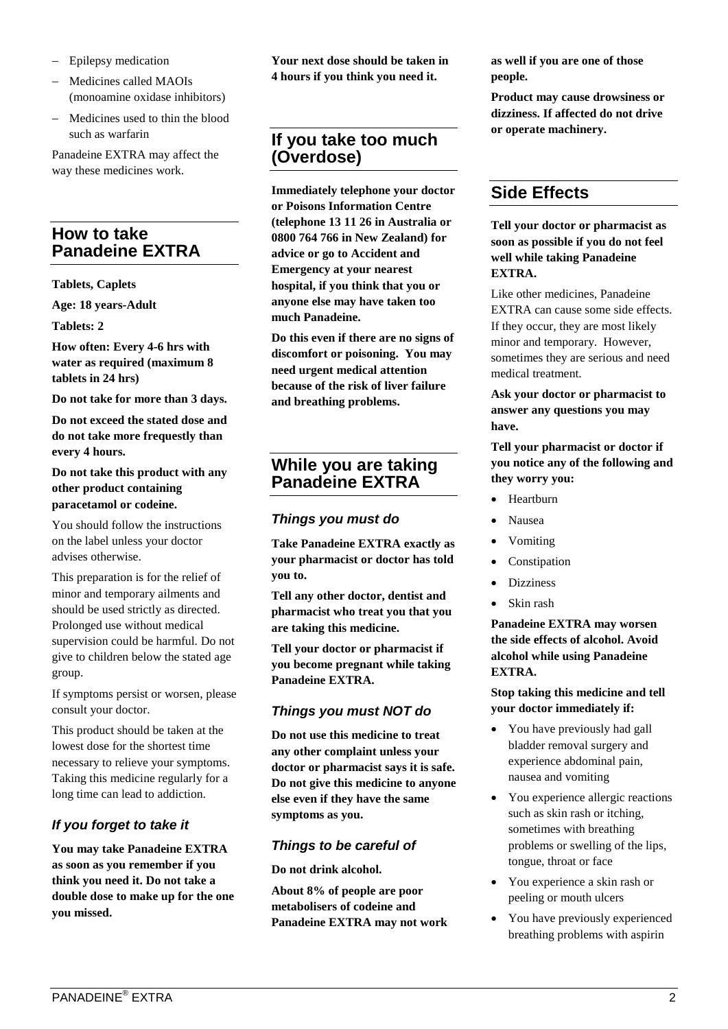- − Epilepsy medication
- − Medicines called MAOIs (monoamine oxidase inhibitors)
- − Medicines used to thin the blood such as warfarin

Panadeine EXTRA may affect the way these medicines work.

# **How to take Panadeine EXTRA**

## **Tablets, Caplets**

**Age: 18 years-Adult**

**Tablets: 2**

**How often: Every 4-6 hrs with water as required (maximum 8 tablets in 24 hrs)**

**Do not take for more than 3 days.**

**Do not exceed the stated dose and do not take more frequestly than every 4 hours.**

## **Do not take this product with any other product containing paracetamol or codeine.**

You should follow the instructions on the label unless your doctor advises otherwise.

This preparation is for the relief of minor and temporary ailments and should be used strictly as directed. Prolonged use without medical supervision could be harmful. Do not give to children below the stated age group.

If symptoms persist or worsen, please consult your doctor.

This product should be taken at the lowest dose for the shortest time necessary to relieve your symptoms. Taking this medicine regularly for a long time can lead to addiction.

## *If you forget to take it*

**You may take Panadeine EXTRA as soon as you remember if you think you need it. Do not take a double dose to make up for the one you missed.**

**Your next dose should be taken in 4 hours if you think you need it.**

# **If you take too much (Overdose)**

**Immediately telephone your doctor or Poisons Information Centre (telephone 13 11 26 in Australia or 0800 764 766 in New Zealand) for advice or go to Accident and Emergency at your nearest hospital, if you think that you or anyone else may have taken too much Panadeine.**

**Do this even if there are no signs of discomfort or poisoning. You may need urgent medical attention because of the risk of liver failure and breathing problems.**

# **While you are taking Panadeine EXTRA**

## *Things you must do*

**Take Panadeine EXTRA exactly as your pharmacist or doctor has told you to.**

**Tell any other doctor, dentist and pharmacist who treat you that you are taking this medicine.**

**Tell your doctor or pharmacist if you become pregnant while taking Panadeine EXTRA.**

## *Things you must NOT do*

**Do not use this medicine to treat any other complaint unless your doctor or pharmacist says it is safe. Do not give this medicine to anyone else even if they have the same symptoms as you.**

## *Things to be careful of*

**Do not drink alcohol.**

**About 8% of people are poor metabolisers of codeine and Panadeine EXTRA may not work**  **as well if you are one of those people.**

**Product may cause drowsiness or dizziness. If affected do not drive or operate machinery.**

# **Side Effects**

**Tell your doctor or pharmacist as soon as possible if you do not feel well while taking Panadeine EXTRA.**

Like other medicines, Panadeine EXTRA can cause some side effects. If they occur, they are most likely minor and temporary. However, sometimes they are serious and need medical treatment.

**Ask your doctor or pharmacist to answer any questions you may have.**

**Tell your pharmacist or doctor if you notice any of the following and they worry you:**

- Heartburn
- Nausea
- Vomiting
- **Constipation**
- **Dizziness**
- Skin rash

**Panadeine EXTRA may worsen the side effects of alcohol. Avoid alcohol while using Panadeine EXTRA.**

**Stop taking this medicine and tell your doctor immediately if:**

- You have previously had gall bladder removal surgery and experience abdominal pain, nausea and vomiting
- You experience allergic reactions such as skin rash or itching, sometimes with breathing problems or swelling of the lips, tongue, throat or face
- You experience a skin rash or peeling or mouth ulcers
- You have previously experienced breathing problems with aspirin